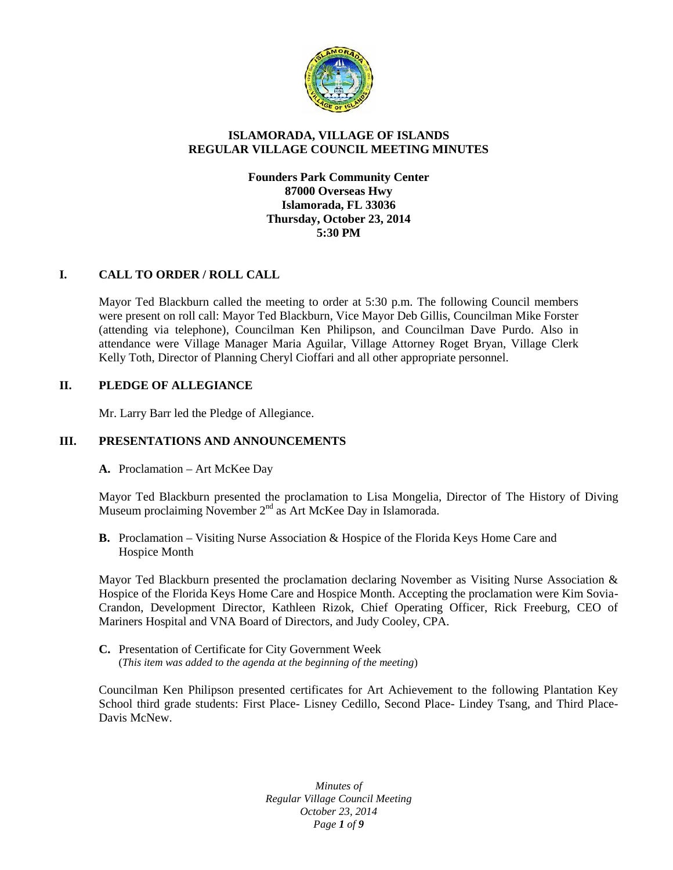

# **ISLAMORADA, VILLAGE OF ISLANDS REGULAR VILLAGE COUNCIL MEETING MINUTES**

## **Founders Park Community Center 87000 Overseas Hwy Islamorada, FL 33036 Thursday, October 23, 2014 5:30 PM**

# **I. CALL TO ORDER / ROLL CALL**

Mayor Ted Blackburn called the meeting to order at 5:30 p.m. The following Council members were present on roll call: Mayor Ted Blackburn, Vice Mayor Deb Gillis, Councilman Mike Forster (attending via telephone), Councilman Ken Philipson, and Councilman Dave Purdo. Also in attendance were Village Manager Maria Aguilar, Village Attorney Roget Bryan, Village Clerk Kelly Toth, Director of Planning Cheryl Cioffari and all other appropriate personnel.

#### **II. PLEDGE OF ALLEGIANCE**

Mr. Larry Barr led the Pledge of Allegiance.

#### **III. PRESENTATIONS AND ANNOUNCEMENTS**

**A.** Proclamation – Art McKee Day

Mayor Ted Blackburn presented the proclamation to Lisa Mongelia, Director of The History of Diving Museum proclaiming November 2<sup>nd</sup> as Art McKee Day in Islamorada.

**B.** Proclamation – Visiting Nurse Association & Hospice of the Florida Keys Home Care and Hospice Month

Mayor Ted Blackburn presented the proclamation declaring November as Visiting Nurse Association & Hospice of the Florida Keys Home Care and Hospice Month. Accepting the proclamation were Kim Sovia- Crandon, Development Director, Kathleen Rizok, Chief Operating Officer, Rick Freeburg, CEO of Mariners Hospital and VNA Board of Directors, and Judy Cooley, CPA.

**C.** Presentation of Certificate for City Government Week (*This item was added to the agenda at the beginning of the meeting*)

Councilman Ken Philipson presented certificates for Art Achievement to the following Plantation Key School third grade students: First Place- Lisney Cedillo, Second Place- Lindey Tsang, and Third Place- Davis McNew.

> *Minutes of Regular Village Council Meeting October 23, 2014 Page 1 of 9*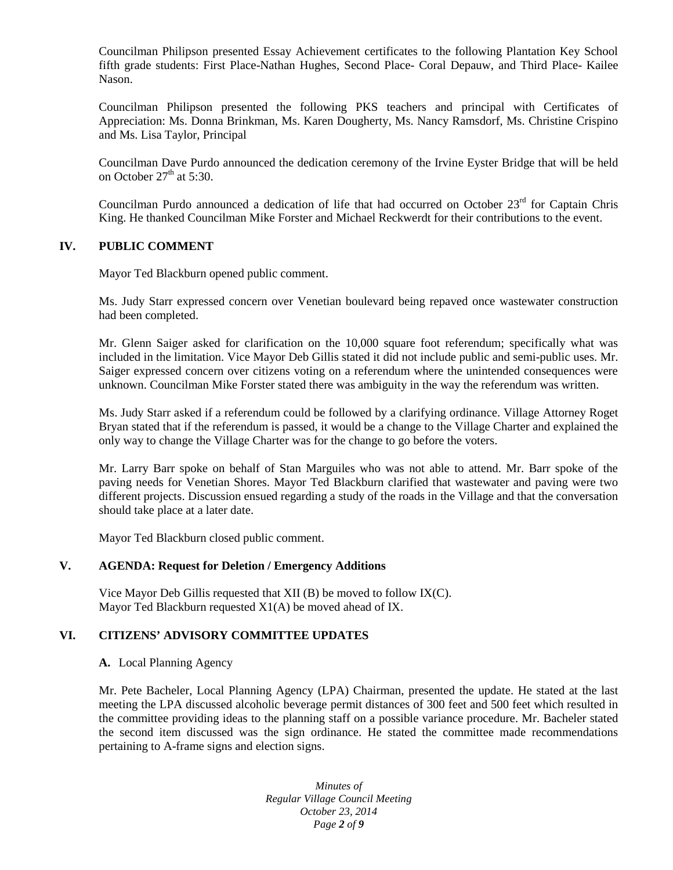Councilman Philipson presented Essay Achievement certificates to the following Plantation Key School fifth grade students: First Place-Nathan Hughes, Second Place- Coral Depauw, and Third Place- Kailee Nason.

Councilman Philipson presented the following PKS teachers and principal with Certificates of Appreciation: Ms. Donna Brinkman, Ms. Karen Dougherty, Ms. Nancy Ramsdorf, Ms. Christine Crispino and Ms. Lisa Taylor, Principal

Councilman Dave Purdo announced the dedication ceremony of the Irvine Eyster Bridge that will be held on October  $27<sup>th</sup>$  at 5:30.

Councilman Purdo announced a dedication of life that had occurred on October  $23<sup>rd</sup>$  for Captain Chris King. He thanked Councilman Mike Forster and Michael Reckwerdt for their contributions to the event.

#### **IV. PUBLIC COMMENT**

Mayor Ted Blackburn opened public comment.

Ms. Judy Starr expressed concern over Venetian boulevard being repaved once wastewater construction had been completed.

Mr. Glenn Saiger asked for clarification on the 10,000 square foot referendum; specifically what was included in the limitation. Vice Mayor Deb Gillis stated it did not include public and semi-public uses. Mr. Saiger expressed concern over citizens voting on a referendum where the unintended consequences were unknown. Councilman Mike Forster stated there was ambiguity in the way the referendum was written.

Ms. Judy Starr asked if a referendum could be followed by a clarifying ordinance. Village Attorney Roget Bryan stated that if the referendum is passed, it would be a change to the Village Charter and explained the only way to change the Village Charter was for the change to go before the voters.

Mr. Larry Barr spoke on behalf of Stan Marguiles who was not able to attend. Mr. Barr spoke of the paving needs for Venetian Shores. Mayor Ted Blackburn clarified that wastewater and paving were two different projects. Discussion ensued regarding a study of the roads in the Village and that the conversation should take place at a later date.

Mayor Ted Blackburn closed public comment.

#### **V. AGENDA: Request for Deletion / Emergency Additions**

Vice Mayor Deb Gillis requested that XII (B) be moved to follow IX(C). Mayor Ted Blackburn requested X1(A) be moved ahead of IX.

#### **VI. CITIZENS' ADVISORY COMMITTEE UPDATES**

**A.** Local Planning Agency

Mr. Pete Bacheler, Local Planning Agency (LPA) Chairman, presented the update. He stated at the last meeting the LPA discussed alcoholic beverage permit distances of 300 feet and 500 feet which resulted in the committee providing ideas to the planning staff on a possible variance procedure. Mr. Bacheler stated the second item discussed was the sign ordinance. He stated the committee made recommendations pertaining to A-frame signs and election signs.

> *Minutes of Regular Village Council Meeting October 23, 2014 Page 2 of 9*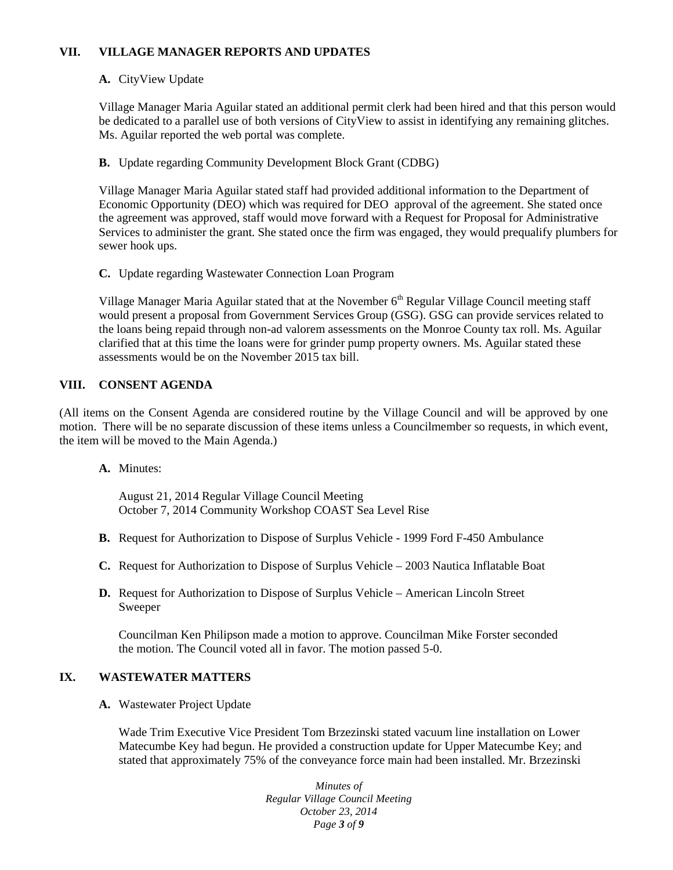# **VII. VILLAGE MANAGER REPORTS AND UPDATES**

# **A.** CityView Update

Village Manager Maria Aguilar stated an additional permit clerk had been hired and that this person would be dedicated to a parallel use of both versions of CityView to assist in identifying any remaining glitches. Ms. Aguilar reported the web portal was complete.

# **B.** Update regarding Community Development Block Grant (CDBG)

Village Manager Maria Aguilar stated staff had provided additional information to the Department of Economic Opportunity (DEO) which was required for DEO approval of the agreement. She stated once the agreement was approved, staff would move forward with a Request for Proposal for Administrative Services to administer the grant. She stated once the firm was engaged, they would prequalify plumbers for sewer hook ups.

# **C.** Update regarding Wastewater Connection Loan Program

Village Manager Maria Aguilar stated that at the November 6<sup>th</sup> Regular Village Council meeting staff would present a proposal from Government Services Group (GSG). GSG can provide services related to the loans being repaid through non-ad valorem assessments on the Monroe County tax roll. Ms. Aguilar clarified that at this time the loans were for grinder pump property owners. Ms. Aguilar stated these assessments would be on the November 2015 tax bill.

## **VIII. CONSENT AGENDA**

(All items on the Consent Agenda are considered routine by the Village Council and will be approved by one motion. There will be no separate discussion of these items unless a Councilmember so requests, in which event, the item will be moved to the Main Agenda.)

# **A.** Minutes:

August 21, 2014 Regular Village Council Meeting October 7, 2014 Community Workshop COAST Sea Level Rise

- **B.** Request for Authorization to Dispose of Surplus Vehicle 1999 Ford F-450 Ambulance
- **C.** Request for Authorization to Dispose of Surplus Vehicle 2003 Nautica Inflatable Boat
- **D.** Request for Authorization to Dispose of Surplus Vehicle American Lincoln Street Sweeper

Councilman Ken Philipson made a motion to approve. Councilman Mike Forster seconded the motion. The Council voted all in favor. The motion passed 5-0.

# **IX. WASTEWATER MATTERS**

**A.** Wastewater Project Update

Wade Trim Executive Vice President Tom Brzezinski stated vacuum line installation on Lower Matecumbe Key had begun. He provided a construction update for Upper Matecumbe Key; and stated that approximately 75% of the conveyance force main had been installed. Mr. Brzezinski

> *Minutes of Regular Village Council Meeting October 23, 2014 Page 3 of 9*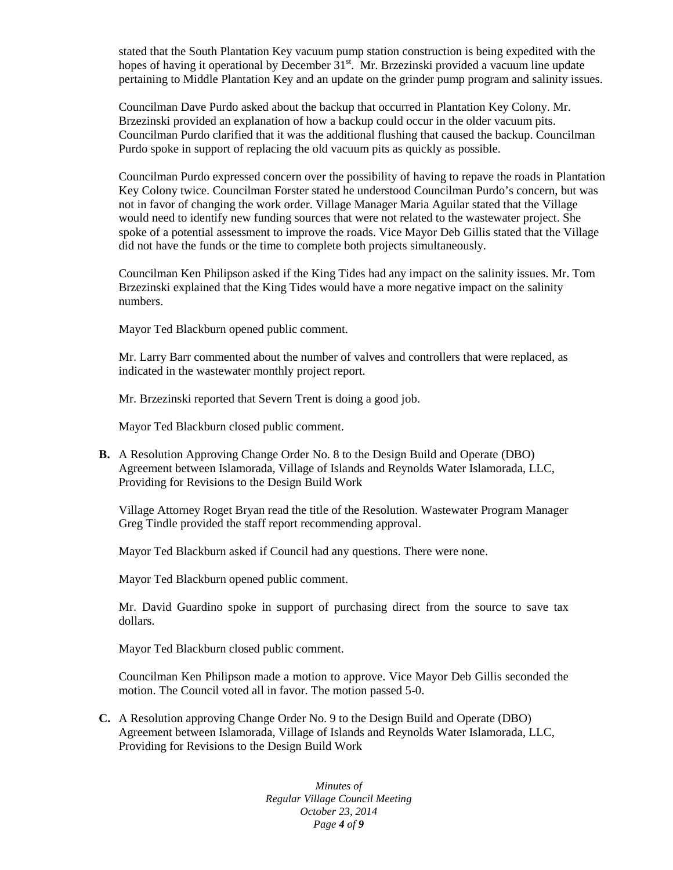stated that the South Plantation Key vacuum pump station construction is being expedited with the hopes of having it operational by December  $31<sup>st</sup>$ . Mr. Brzezinski provided a vacuum line update pertaining to Middle Plantation Key and an update on the grinder pump program and salinity issues.

Councilman Dave Purdo asked about the backup that occurred in Plantation Key Colony. Mr. Brzezinski provided an explanation of how a backup could occur in the older vacuum pits. Councilman Purdo clarified that it was the additional flushing that caused the backup. Councilman Purdo spoke in support of replacing the old vacuum pits as quickly as possible.

Councilman Purdo expressed concern over the possibility of having to repave the roads in Plantation Key Colony twice. Councilman Forster stated he understood Councilman Purdo's concern, but was not in favor of changing the work order. Village Manager Maria Aguilar stated that the Village would need to identify new funding sources that were not related to the wastewater project. She spoke of a potential assessment to improve the roads. Vice Mayor Deb Gillis stated that the Village did not have the funds or the time to complete both projects simultaneously.

Councilman Ken Philipson asked if the King Tides had any impact on the salinity issues. Mr. Tom Brzezinski explained that the King Tides would have a more negative impact on the salinity numbers.

Mayor Ted Blackburn opened public comment.

Mr. Larry Barr commented about the number of valves and controllers that were replaced, as indicated in the wastewater monthly project report.

Mr. Brzezinski reported that Severn Trent is doing a good job.

Mayor Ted Blackburn closed public comment.

**B.** A Resolution Approving Change Order No. 8 to the Design Build and Operate (DBO) Agreement between Islamorada, Village of Islands and Reynolds Water Islamorada, LLC, Providing for Revisions to the Design Build Work

Village Attorney Roget Bryan read the title of the Resolution. Wastewater Program Manager Greg Tindle provided the staff report recommending approval.

Mayor Ted Blackburn asked if Council had any questions. There were none.

Mayor Ted Blackburn opened public comment.

Mr. David Guardino spoke in support of purchasing direct from the source to save tax dollars.

Mayor Ted Blackburn closed public comment.

Councilman Ken Philipson made a motion to approve. Vice Mayor Deb Gillis seconded the motion. The Council voted all in favor. The motion passed 5-0.

**C.** A Resolution approving Change Order No. 9 to the Design Build and Operate (DBO) Agreement between Islamorada, Village of Islands and Reynolds Water Islamorada, LLC, Providing for Revisions to the Design Build Work

> *Minutes of Regular Village Council Meeting October 23, 2014 Page 4 of 9*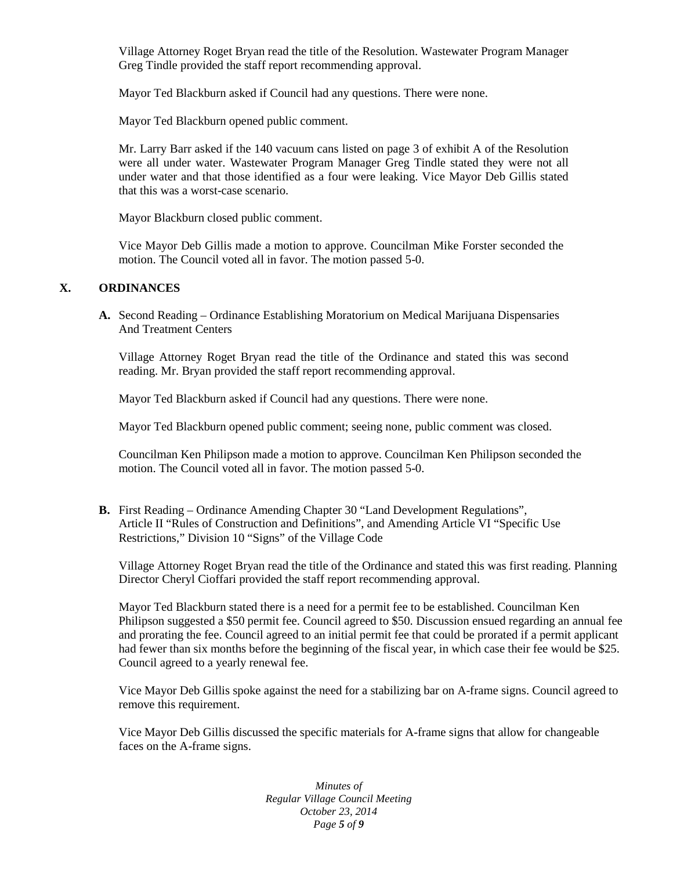Village Attorney Roget Bryan read the title of the Resolution. Wastewater Program Manager Greg Tindle provided the staff report recommending approval.

Mayor Ted Blackburn asked if Council had any questions. There were none.

Mayor Ted Blackburn opened public comment.

Mr. Larry Barr asked if the 140 vacuum cans listed on page 3 of exhibit A of the Resolution were all under water. Wastewater Program Manager Greg Tindle stated they were not all under water and that those identified as a four were leaking. Vice Mayor Deb Gillis stated that this was a worst-case scenario.

Mayor Blackburn closed public comment.

Vice Mayor Deb Gillis made a motion to approve. Councilman Mike Forster seconded the motion. The Council voted all in favor. The motion passed 5-0.

#### **X. ORDINANCES**

**A.** Second Reading – Ordinance Establishing Moratorium on Medical Marijuana Dispensaries And Treatment Centers

Village Attorney Roget Bryan read the title of the Ordinance and stated this was second reading. Mr. Bryan provided the staff report recommending approval.

Mayor Ted Blackburn asked if Council had any questions. There were none.

Mayor Ted Blackburn opened public comment; seeing none, public comment was closed.

Councilman Ken Philipson made a motion to approve. Councilman Ken Philipson seconded the motion. The Council voted all in favor. The motion passed 5-0.

**B.** First Reading – Ordinance Amending Chapter 30 "Land Development Regulations", Article II "Rules of Construction and Definitions", and Amending Article VI "Specific Use Restrictions," Division 10 "Signs" of the Village Code

Village Attorney Roget Bryan read the title of the Ordinance and stated this was first reading. Planning Director Cheryl Cioffari provided the staff report recommending approval.

Mayor Ted Blackburn stated there is a need for a permit fee to be established. Councilman Ken Philipson suggested a \$50 permit fee. Council agreed to \$50. Discussion ensued regarding an annual fee and prorating the fee. Council agreed to an initial permit fee that could be prorated if a permit applicant had fewer than six months before the beginning of the fiscal year, in which case their fee would be \$25. Council agreed to a yearly renewal fee.

Vice Mayor Deb Gillis spoke against the need for a stabilizing bar on A-frame signs. Council agreed to remove this requirement.

Vice Mayor Deb Gillis discussed the specific materials for A-frame signs that allow for changeable faces on the A-frame signs.

> *Minutes of Regular Village Council Meeting October 23, 2014 Page 5 of 9*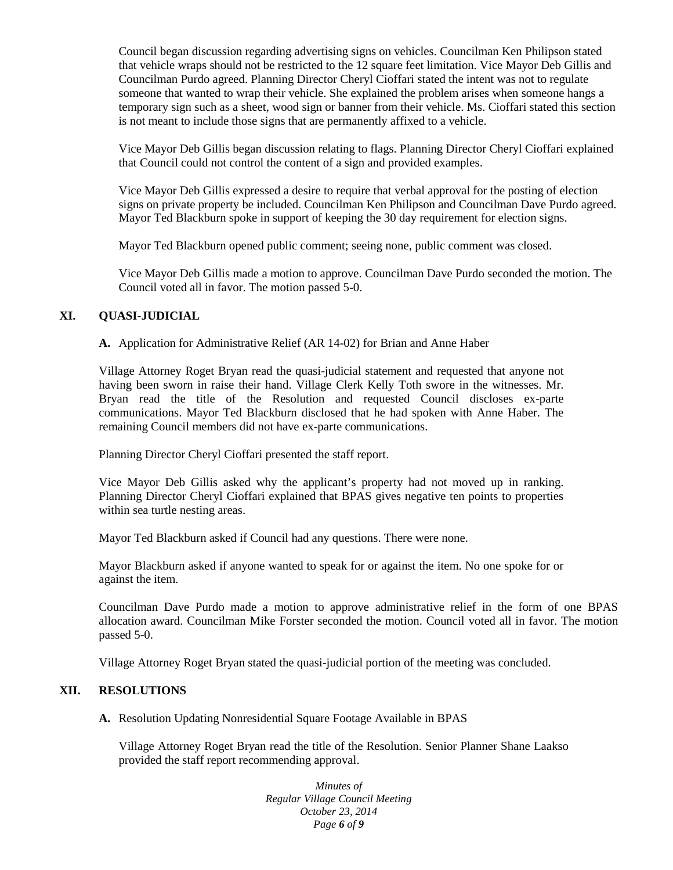Council began discussion regarding advertising signs on vehicles. Councilman Ken Philipson stated that vehicle wraps should not be restricted to the 12 square feet limitation. Vice Mayor Deb Gillis and Councilman Purdo agreed. Planning Director Cheryl Cioffari stated the intent was not to regulate someone that wanted to wrap their vehicle. She explained the problem arises when someone hangs a temporary sign such as a sheet, wood sign or banner from their vehicle. Ms. Cioffari stated this section is not meant to include those signs that are permanently affixed to a vehicle.

Vice Mayor Deb Gillis began discussion relating to flags. Planning Director Cheryl Cioffari explained that Council could not control the content of a sign and provided examples.

Vice Mayor Deb Gillis expressed a desire to require that verbal approval for the posting of election signs on private property be included. Councilman Ken Philipson and Councilman Dave Purdo agreed. Mayor Ted Blackburn spoke in support of keeping the 30 day requirement for election signs.

Mayor Ted Blackburn opened public comment; seeing none, public comment was closed.

Vice Mayor Deb Gillis made a motion to approve. Councilman Dave Purdo seconded the motion. The Council voted all in favor. The motion passed 5-0.

## **XI. QUASI-JUDICIAL**

**A.** Application for Administrative Relief (AR 14-02) for Brian and Anne Haber

Village Attorney Roget Bryan read the quasi-judicial statement and requested that anyone not having been sworn in raise their hand. Village Clerk Kelly Toth swore in the witnesses. Mr. Bryan read the title of the Resolution and requested Council discloses ex-parte communications. Mayor Ted Blackburn disclosed that he had spoken with Anne Haber. The remaining Council members did not have ex-parte communications.

Planning Director Cheryl Cioffari presented the staff report.

Vice Mayor Deb Gillis asked why the applicant's property had not moved up in ranking. Planning Director Cheryl Cioffari explained that BPAS gives negative ten points to properties within sea turtle nesting areas.

Mayor Ted Blackburn asked if Council had any questions. There were none.

Mayor Blackburn asked if anyone wanted to speak for or against the item. No one spoke for or against the item.

Councilman Dave Purdo made a motion to approve administrative relief in the form of one BPAS allocation award. Councilman Mike Forster seconded the motion. Council voted all in favor. The motion passed 5-0.

Village Attorney Roget Bryan stated the quasi-judicial portion of the meeting was concluded.

#### **XII. RESOLUTIONS**

**A.** Resolution Updating Nonresidential Square Footage Available in BPAS

Village Attorney Roget Bryan read the title of the Resolution. Senior Planner Shane Laakso provided the staff report recommending approval.

> *Minutes of Regular Village Council Meeting October 23, 2014 Page 6 of 9*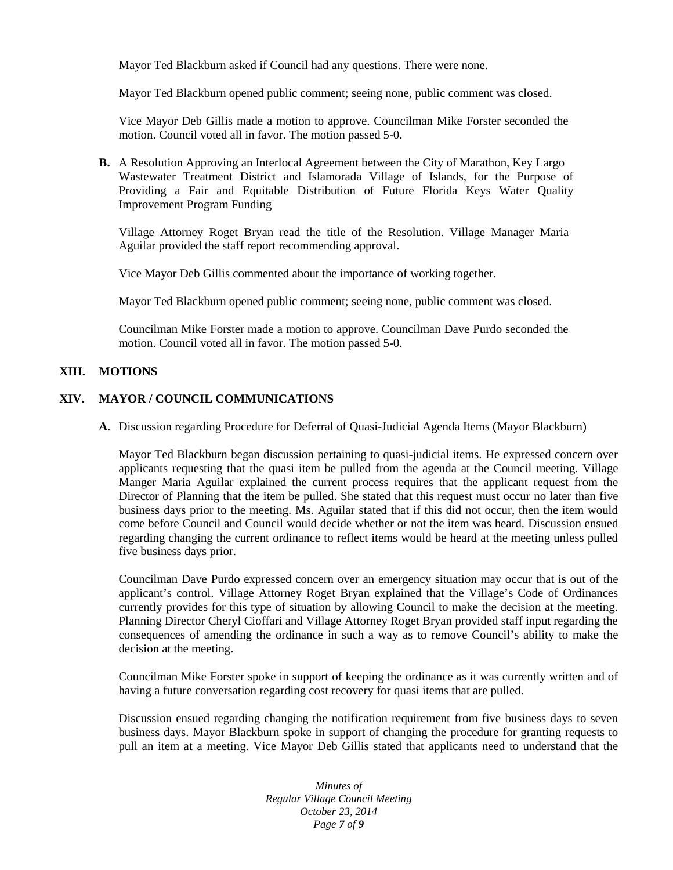Mayor Ted Blackburn asked if Council had any questions. There were none.

Mayor Ted Blackburn opened public comment; seeing none, public comment was closed.

Vice Mayor Deb Gillis made a motion to approve. Councilman Mike Forster seconded the motion. Council voted all in favor. The motion passed 5-0.

**B.** A Resolution Approving an Interlocal Agreement between the City of Marathon, Key Largo Wastewater Treatment District and Islamorada Village of Islands, for the Purpose of Providing a Fair and Equitable Distribution of Future Florida Keys Water Quality Improvement Program Funding

Village Attorney Roget Bryan read the title of the Resolution. Village Manager Maria Aguilar provided the staff report recommending approval.

Vice Mayor Deb Gillis commented about the importance of working together.

Mayor Ted Blackburn opened public comment; seeing none, public comment was closed.

Councilman Mike Forster made a motion to approve. Councilman Dave Purdo seconded the motion. Council voted all in favor. The motion passed 5-0.

#### **XIII. MOTIONS**

## **XIV. MAYOR / COUNCIL COMMUNICATIONS**

**A.** Discussion regarding Procedure for Deferral of Quasi-Judicial Agenda Items (Mayor Blackburn)

Mayor Ted Blackburn began discussion pertaining to quasi-judicial items. He expressed concern over applicants requesting that the quasi item be pulled from the agenda at the Council meeting. Village Manger Maria Aguilar explained the current process requires that the applicant request from the Director of Planning that the item be pulled. She stated that this request must occur no later than five business days prior to the meeting. Ms. Aguilar stated that if this did not occur, then the item would come before Council and Council would decide whether or not the item was heard. Discussion ensued regarding changing the current ordinance to reflect items would be heard at the meeting unless pulled five business days prior.

Councilman Dave Purdo expressed concern over an emergency situation may occur that is out of the applicant's control. Village Attorney Roget Bryan explained that the Village's Code of Ordinances currently provides for this type of situation by allowing Council to make the decision at the meeting. Planning Director Cheryl Cioffari and Village Attorney Roget Bryan provided staff input regarding the consequences of amending the ordinance in such a way as to remove Council's ability to make the decision at the meeting.

Councilman Mike Forster spoke in support of keeping the ordinance as it was currently written and of having a future conversation regarding cost recovery for quasi items that are pulled.

Discussion ensued regarding changing the notification requirement from five business days to seven business days. Mayor Blackburn spoke in support of changing the procedure for granting requests to pull an item at a meeting. Vice Mayor Deb Gillis stated that applicants need to understand that the

> *Minutes of Regular Village Council Meeting October 23, 2014 Page 7 of 9*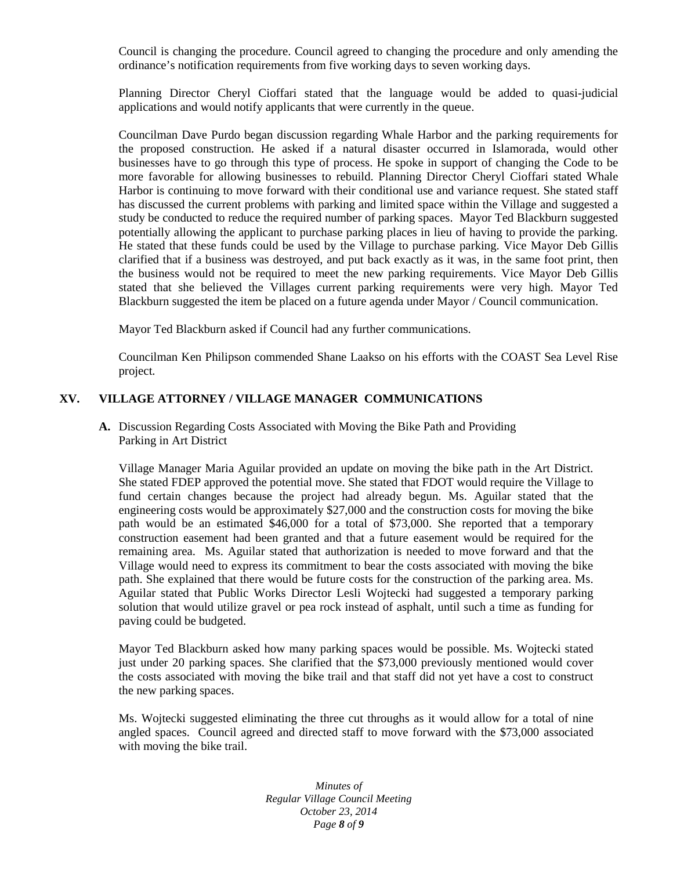Council is changing the procedure. Council agreed to changing the procedure and only amending the ordinance's notification requirements from five working days to seven working days.

Planning Director Cheryl Cioffari stated that the language would be added to quasi-judicial applications and would notify applicants that were currently in the queue.

Councilman Dave Purdo began discussion regarding Whale Harbor and the parking requirements for the proposed construction. He asked if a natural disaster occurred in Islamorada, would other businesses have to go through this type of process. He spoke in support of changing the Code to be more favorable for allowing businesses to rebuild. Planning Director Cheryl Cioffari stated Whale Harbor is continuing to move forward with their conditional use and variance request. She stated staff has discussed the current problems with parking and limited space within the Village and suggested a study be conducted to reduce the required number of parking spaces. Mayor Ted Blackburn suggested potentially allowing the applicant to purchase parking places in lieu of having to provide the parking. He stated that these funds could be used by the Village to purchase parking. Vice Mayor Deb Gillis clarified that if a business was destroyed, and put back exactly as it was, in the same foot print, then the business would not be required to meet the new parking requirements. Vice Mayor Deb Gillis stated that she believed the Villages current parking requirements were very high. Mayor Ted Blackburn suggested the item be placed on a future agenda under Mayor / Council communication.

Mayor Ted Blackburn asked if Council had any further communications.

Councilman Ken Philipson commended Shane Laakso on his efforts with the COAST Sea Level Rise project.

## **XV. VILLAGE ATTORNEY / VILLAGE MANAGER COMMUNICATIONS**

**A.** Discussion Regarding Costs Associated with Moving the Bike Path and Providing Parking in Art District

Village Manager Maria Aguilar provided an update on moving the bike path in the Art District. She stated FDEP approved the potential move. She stated that FDOT would require the Village to fund certain changes because the project had already begun. Ms. Aguilar stated that the engineering costs would be approximately \$27,000 and the construction costs for moving the bike path would be an estimated \$46,000 for a total of \$73,000. She reported that a temporary construction easement had been granted and that a future easement would be required for the remaining area. Ms. Aguilar stated that authorization is needed to move forward and that the Village would need to express its commitment to bear the costs associated with moving the bike path. She explained that there would be future costs for the construction of the parking area. Ms. Aguilar stated that Public Works Director Lesli Wojtecki had suggested a temporary parking solution that would utilize gravel or pea rock instead of asphalt, until such a time as funding for paving could be budgeted.

Mayor Ted Blackburn asked how many parking spaces would be possible. Ms. Wojtecki stated just under 20 parking spaces. She clarified that the \$73,000 previously mentioned would cover the costs associated with moving the bike trail and that staff did not yet have a cost to construct the new parking spaces.

Ms. Wojtecki suggested eliminating the three cut throughs as it would allow for a total of nine angled spaces. Council agreed and directed staff to move forward with the \$73,000 associated with moving the bike trail.

> *Minutes of Regular Village Council Meeting October 23, 2014 Page 8 of 9*